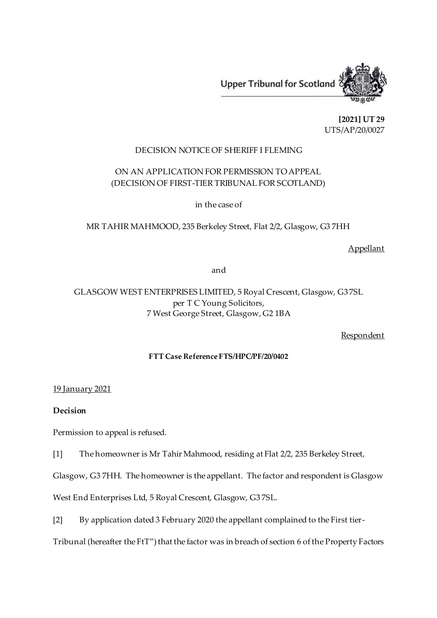

**[2021] UT 29** UTS/AP/20/0027

### DECISION NOTICE OF SHERIFF I FLEMING

## ON AN APPLICATION FOR PERMISSION TO APPEAL (DECISION OF FIRST-TIER TRIBUNAL FOR SCOTLAND)

in the case of

MR TAHIR MAHMOOD, 235 Berkeley Street, Flat 2/2, Glasgow, G3 7HH

### Appellant

and

# GLASGOW WEST ENTERPRISES LIMITED, 5 Royal Crescent, Glasgow, G3 7SL per T C Young Solicitors, 7 West George Street, Glasgow, G2 1BA

#### Respondent

#### **FTT Case Reference FTS/HPC/PF/20/0402**

#### 19 January 2021

#### **Decision**

Permission to appeal is refused.

[1] The homeowner is Mr Tahir Mahmood, residing at Flat 2/2, 235 Berkeley Street,

Glasgow, G3 7HH. The homeowner is the appellant. The factor and respondent is Glasgow

West End Enterprises Ltd, 5 Royal Crescent, Glasgow, G3 7SL.

[2] By application dated 3 February 2020 the appellant complained to the First tier-

Tribunal (hereafter the FtT") that the factor was in breach of section 6 of the Property Factors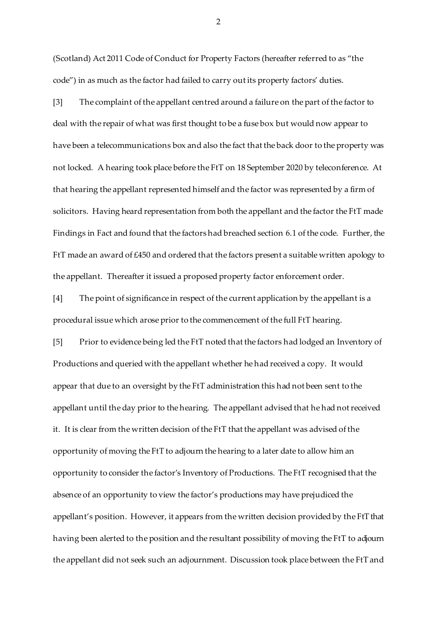(Scotland) Act 2011 Code of Conduct for Property Factors (hereafter referred to as "the code") in as much as the factor had failed to carry out its property factors' duties.

[3] The complaint of the appellant centred around a failure on the part of the factor to deal with the repair of what was first thought to be a fuse box but would now appear to have been a telecommunications box and also the fact that the back door to the property was not locked. A hearing took place before the FtT on 18 September 2020 by teleconference. At that hearing the appellant represented himself and the factor was represented by a firm of solicitors. Having heard representation from both the appellant and the factor the FtT made Findings in Fact and found that the factors had breached section 6.1 of the code. Further, the FtT made an award of £450 and ordered that the factors present a suitable written apology to the appellant. Thereafter it issued a proposed property factor enforcement order.

[4] The point of significance in respect of the current application by the appellant is a procedural issue which arose prior to the commencement of the full FtT hearing.

[5] Prior to evidence being led the FtT noted that the factors had lodged an Inventory of Productions and queried with the appellant whether he had received a copy. It would appear that due to an oversight by the FtT administration this had not been sent to the appellant until the day prior to the hearing. The appellant advised that he had not received it. It is clear from the written decision of the FtT that the appellant was advised of the opportunity of moving the FtT to adjourn the hearing to a later date to allow him an opportunity to consider the factor's Inventory of Productions. The FtT recognised that the absence of an opportunity to view the factor's productions may have prejudiced the appellant's position. However, it appears from the written decision provided by the FtT that having been alerted to the position and the resultant possibility of moving the FtT to adjourn the appellant did not seek such an adjournment. Discussion took place between the FtT and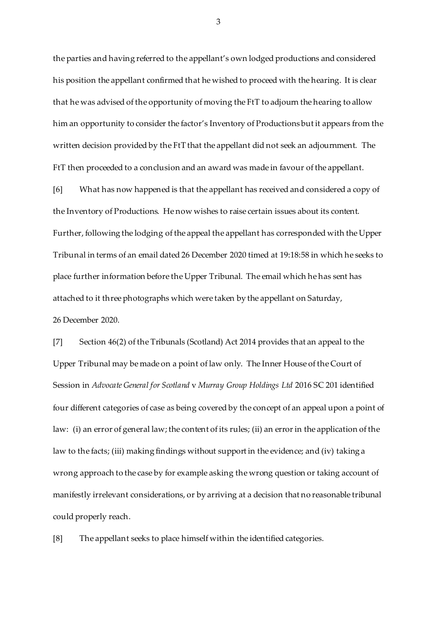the parties and having referred to the appellant's own lodged productions and considered his position the appellant confirmed that he wished to proceed with the hearing. It is clear that he was advised of the opportunity of moving the FtT to adjourn the hearing to allow him an opportunity to consider the factor's Inventory of Productions but it appears from the written decision provided by the FtT that the appellant did not seek an adjournment. The FtT then proceeded to a conclusion and an award was made in favour of the appellant.

[6] What has now happened is that the appellant has received and considered a copy of the Inventory of Productions. He now wishes to raise certain issues about its content. Further, following the lodging of the appeal the appellant has corresponded with the Upper Tribunal in terms of an email dated 26 December 2020 timed at 19:18:58 in which he seeks to place further information before the Upper Tribunal. The email which he has sent has attached to it three photographs which were taken by the appellant on Saturday, 26 December 2020.

[7] Section 46(2) of the Tribunals (Scotland) Act 2014 provides that an appeal to the Upper Tribunal may be made on a point of law only. The Inner House of the Court of Session in *Advocate General for Scotland* v *Murray Group Holdings Ltd* 2016 SC 201 identified four different categories of case as being covered by the concept of an appeal upon a point of law: (i) an error of general law; the content of its rules; (ii) an error in the application of the law to the facts; (iii) making findings without support in the evidence; and (iv) taking a wrong approach to the case by for example asking the wrong question or taking account of manifestly irrelevant considerations, or by arriving at a decision that no reasonable tribunal could properly reach.

[8] The appellant seeks to place himself within the identified categories.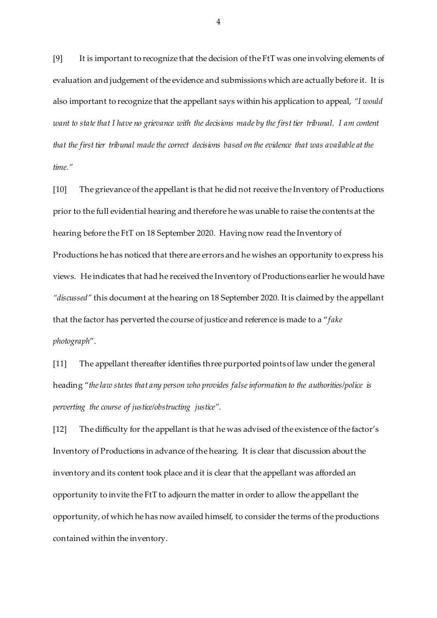[9] It is important to recognize that the decision of the FtT was one involving elements of evaluation and judgement of the evidence and submissions which are actually before it. It is also important to recognize that the appellant says within his application to appeal, *"I would want to state that I have no grievance with the decisions made by the first tier tribunal. I am content that the first tier tribunal made the correct decisions based on the evidence that was available at the time."* 

[10] The grievance of the appellant is that he did not receive the Inventory of Productions prior to the full evidential hearing and therefore he was unable to raise the contents at the hearing before the FtT on 18 September 2020. Having now read the Inventory of Productions he has noticed that there are errors and he wishes an opportunity to express his views. He indicates that had he received the Inventory of Productions earlier he would have *"discussed"* this document at the hearing on 18 September 2020. It is claimed by the appellant that the factor has perverted the course of justice and reference is made to a "*fake photograph*".

[11] The appellant thereafter identifies three purported points of law under the general heading "*the law states that any person who provides false information to the authorities/police is perverting the course of justice/obstructing justice".* 

[12] The difficulty for the appellant is that he was advised of the existence of the factor's Inventory of Productions in advance of the hearing. It is clear that discussion about the inventory and its content took place and it is clear that the appellant was afforded an opportunity to invite the FtT to adjourn the matter in order to allow the appellant the opportunity, of which he has now availed himself, to consider the terms of the productions contained within the inventory.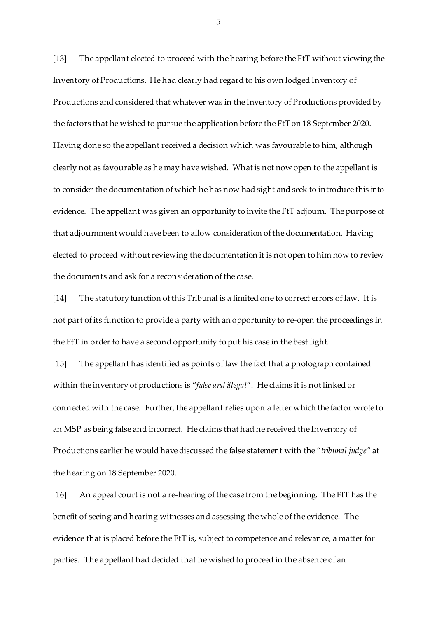[13] The appellant elected to proceed with the hearing before the FtT without viewing the Inventory of Productions. He had clearly had regard to his own lodged Inventory of Productions and considered that whatever was in the Inventory of Productions provided by the factors that he wished to pursue the application before the FtT on 18 September 2020. Having done so the appellant received a decision which was favourable to him, although clearly not as favourable as he may have wished. What is not now open to the appellant is to consider the documentation of which he has now had sight and seek to introduce this into evidence. The appellant was given an opportunity to invite the FtT adjourn. The purpose of that adjournment would have been to allow consideration of the documentation. Having elected to proceed without reviewing the documentation it is not open to him now to review the documents and ask for a reconsideration of the case.

[14] The statutory function of this Tribunal is a limited one to correct errors of law. It is not part of its function to provide a party with an opportunity to re-open the proceedings in the FtT in order to have a second opportunity to put his case in the best light.

[15] The appellant has identified as points of law the fact that a photograph contained within the inventory of productions is "*false and illegal*". He claims it is not linked or connected with the case. Further, the appellant relies upon a letter which the factor wrote to an MSP as being false and incorrect. He claims that had he received the Inventory of Productions earlier he would have discussed the false statement with the "*tribunal judge"* at the hearing on 18 September 2020.

[16] An appeal court is not a re-hearing of the case from the beginning. The FtT has the benefit of seeing and hearing witnesses and assessing the whole of the evidence. The evidence that is placed before the FtT is, subject to competence and relevance, a matter for parties. The appellant had decided that he wished to proceed in the absence of an